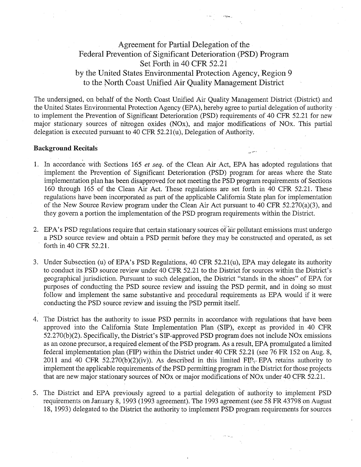# Agreement for Partial Delegation of the Federal Prevention of Significant Deterioration (PSD) Program Set Forth in 40 CFR 52.21 by the United States Environmental Protection Agency, Region 9 to the North Coast Unified Air Quality Management District

The undersigned, on behalf of the North Coast Unified Air Quality Management District (District) and the United States Environmental Protection Agency (EPA), hereby agree to partial delegation of authority to implement the Prevention of Significant Deterioration (PSD) requirements of 40 CFR 52.21 for new major stationary sources of nitrogen oxides (NOx), and major modifications of NOx. This partial delegation is executed pursuant to 40 CFR 52.21(u), Delegation of Authority.

#### Background Recitals

- 1. In accordance with Sections 165 et seq. of the Clean Air Act, EPA has adopted regulations that implement the Prevention of Significant Deterioration (PSD) program for areas where the State implementation plan has been disapproved for not meeting the PSD program requirements of Sections 160 through 165 of the Clean Air Act. These regulations are set forth in 40 CFR 52.21. These regulations have been incorporated as part of the applicable California State plan for implementation of the New Source Review program under the Clean Air Act pursuant to 40 CFR 52.270(a)(3), and they govern a portion the implementation of the PSD program requirements within the District.
- 2. EPA's PSD regulations require that certain stationary sources of air pollutant emissions must undergo a PSD source review and obtain a PSD permit before they may be constructed and operated, as set forth in 40 CFR 52.21.
- 3. Under Subsection (u) of EPA's PSD Regulations, 40 CFR 52.21(u), EPA may delegate its authority to conduct its PSD source review under 40 CFR 52.21 to the District for sources within the District's geographical jurisdiction. Pursuant to such delegation, the District "stands in the shoes" of EPA for purposes of conducting the PSD source review and issuing the PSD permit, and in doing so must follow and implement the same substantive and procedural requirements as EPA would if it were conducting the PSD source review and issuing the PSD permit itself.
- 4. The District has the authority to issue PSD permits in accordance with regulations that have been approved into the California State Implementation Plan (SIP), except as provided in 40 CFR 52.270(b)(2). Specifically, the District's SIP-approved PSD program does not include NOx emissions as an ozone precursor, a required element of the PSD program. As a result, EPA promulgated a limited federal implementation plan (FIP) within the District under 40 CFR 52.21 (see 76 FR 152 on Aug. 8, 2011 and 40 CFR 52.270(b)(2)(iv)). As described in this limited FIP<sub>5</sub>. EPA retains authority to implement the applicable requirements of the PSD permitting program in the District for those projects that are new major stationary sources of NOx or major modifications of NOx under 40 CFR 52.21.
- 5. The District and EPA previously agreed to a partial delegation of authority to implement PSD requirements on January 8, 1993 (1993 agreement). The 1993 agreement (see 58 FR 43798 on August 18, 1993) delegated to the District the authority to implement PSD program requirements for sources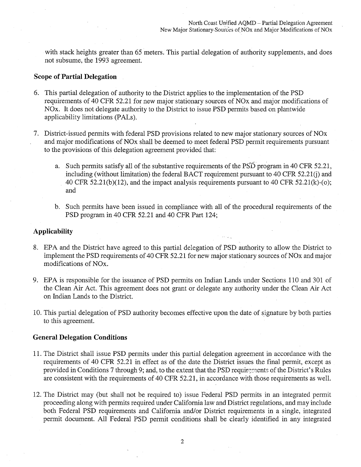with stack heights greater than 65 meters. This partial delegation of authority supplements, and does not subsume, the 1993 agreement.

# **Scope of Partial Delegation**

- 6. This partial delegation of authority to the District applies to the implementation of the PSD requirements of 40 CFR 52.21 for new major stationary sources of NOx and major modifications of NOx. It does not delegate authority to the District to issue PSD permits based on plantwide applicability limitations (PALs ).
- 7. District-issued permits with federal PSD provisions related to new major stationary sources of NOx and major modifications of NOx shall be deemed to meet federal PSD permit requirements pursuant to the provisions of this delegation agreement provided that:
	- a. Such permits satisfy all of the substantive requirements of the  $\overline{PSD}$  program in 40 CFR 52.21, including (without limitation) the federal BACT requirement pursuant to 40 CFR  $52.21(i)$  and 40 CFR 52.2l(b)(12), and the impact analysis requirements pursuant to 40 CFR 52.2l(k)-(o); and
	- b. Such permits have been issued in compliance with all of the procedural requirements of the PSD program in 40 CFR 52.21 and 40 CFR Part 124;

# **Applicability**

- 8. EPA and the District have agreed to this partial delegation of PSD authority to allow the District to implement the PSD requirements of 40 CFR 52.21 for new major stationary sources of NOx and major modifications of NOx.
- 9. EPA is responsible for the issuance of PSD permits on Indian Lands under Sections 110 and 301 of the Clean Air Act. This agreement does not grant or delegate any authority under the Clean Air Act on Indian Lands to the District.
- 10. This partial delegation of PSD authority becomes effective upon the date of signature by both parties to this agreement.

### **General Delegation Conditions**

- 11. The District shall issue PSD permits under this partial delegation agreement in accordance with the requirements of 40 CFR 52.21 in effect as of the date the District issues the final permit, except as provided in Conditions 7 through 9; and, to the extent that the PSD requirements of the District's Rules are consistent with the requirements of 40 CFR 52.21, in accordance with those requirements as well.
- 12. The District may (but shall not be required to) issue Federal PSD permits in .an integrated permit proceeding along with permits required under California law and District regulations, and may include both Federal PSD requirements and California and/or District requirements in a single, integrated permit document. All Federal PSD permit conditions shall be clearly identified in any integrated

2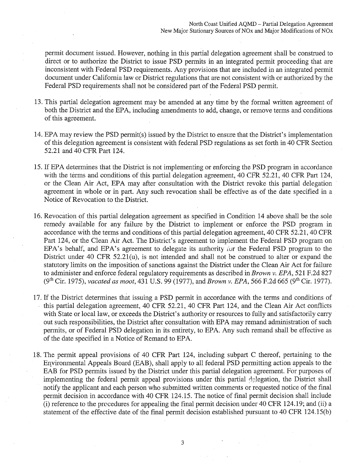permit document issued. However, nothing in this partial delegation agreement shall be construed to direct or to authorize the District to issue PSD permits in an integrated permit proceeding that are inconsistent with Federal PSD requirements. Any provisions that are included in an integrated permit document under California law or District regulations that are not consistent with or authorized by the Federal PSD requirements shall not be considered part of the Federal PSD permit.

- 13. This partial delegation agreement may be amended at any time by the formal written agreement of both the District and the EPA, including amendments to add, change, or remove terms and conditions of this agreement.
- 14. EPA may review the PSD permit(s) issued by the District to ensure that the District's implementation of this delegation agreement is consistent with federal PSD regulations as set forth in 40 CFR Section 52.21 and 40 CFR Part 124.
- 15. If EPA determines that the District is not implementing or enforcing the PSD program in accordance with the terms and conditions of this partial delegation agreement, 40 CFR 52.21, 40 CFR Part 124, or the Clean Air Act, EPA may after consultation with the District revoke this partial delegation agreement in whole or in part. Any such revocation shall be effective as of the date specified in a Notice of Revocation to the District.
- 16. Revocation of this partial delegation agreement as specified in Condition 14 above shall be the sole remedy available for any failure by the District to implement or enforce the PSD program in accordance with the terms and conditions of this partial delegation agreement, 40 CFR 52.21, 40 CFR Part 124, or the Clean Air Act. The District's agreement to implement the Federal PSD program on EPA's behalf, and EPA's agreement to delegate its authority for the Federal PSD program to the District under 40 CFR 52.21(u), is not intended and shall not be construed to alter or expand the statutory limits on the imposition of sanctions against the District under the Clean Air Act for failure to administer and enforce federal regulatory requirements as described in *Brown v. EPA,* 521 F.2d 827 (9th Cir. 1975), *vacated as moot,* 431 U.S. 99 (1977), and *Brown v. EPA,* 566 F.2d 665 (9th Cir. 1977).
- 17. If the District determines that issuing a PSD permit in accordance with the terms and conditions of this partial delegation agreement, 40 CFR 52.21, 40 CFR Part 124, and the Clean Air Act conflicts with State or local law, or exceeds the District's authority or resources to fully and satisfactorily carry out such responsibilities, the District after consultation with EPA may remand administration of such permits, or of Federal PSD delegation in its entirety, to EPA. Any such remand shall be effective as of the date specified in a Notice of Remand to EPA.
- 18. The permit appeal provisions of 40 CFR Part 124, including subpart C thereof, pertaining to the Enyironmental Appeals Board (EAB), shall apply to all federal PSD permitting action appeals to the EAB for PSD permits issued by the District under this partial delegation agreement. For purposes of implementing the federal permit appeal provisions under this partial delegation, the District shall notify the applicant and each person who submitted written comments or requested notice of the final permit decision in accordance with 40 CFR 124.15. The notice of final permit decision shall include  $(i)$  reference to the procedures for appealing the final permit decision under 40 CFR 124.19; and  $(ii)$  a statement of the effective date of the final permit decision established pursuant to 40 CFR 124.15(b)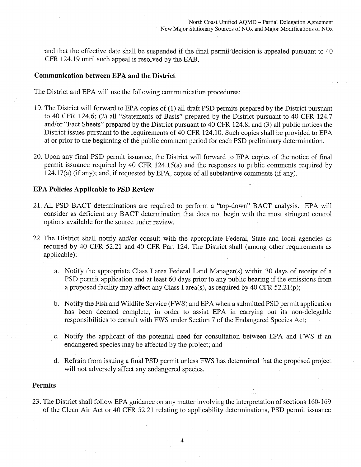and that the effective date shall be suspended if the final permit decision is appealed pursuant to 40 CFR 124.19 until such appeal is resolved by the EAB.

# **Communication between EPA and the District**

The District and EPA will use the following communication procedures:

- 19. The District will forward to EPA copies of (1) all draft PSD permits prepared by the District pursuant to 40 CFR 124.6; (2) all "Statements of Basis" prepared by the District pursuant to 40 CFR 124.7 and/or "Fact Sheets" prepared by the District pursuant to 40 CFR 124.8; and (3) all public notices the District issues pursuant to the requirements of 40 CFR 124.10. Such copies shall be provided to EPA at or prior to the beginning of the public comment period for each PSD preliminary determination.
- 20. Upon any final PSD permit issuance, the District will forward to EPA copies of the notice of final permit issuance required by 40 CFR 124.15(a) and the responses to public comments required by 124.l7(a) (if any); and, if requested by EPA, copies of all substantive comments (if any).

## **EPA Policies Applicable to PSD Review**

- 21. All PSD BACT determinations are required to perform a "top-down" BACT analysis. EPA will consider as deficient any BACT determination that does not begin with the most stringent control options available for the source under review.
- 22. The District shall notify and/or consult with the appropriate Federal, State and local agencies as required by 40 CFR 52.21 and 40 CFR Part 124. The District shall (among other requirements as applicable):
	- a. Notify the appropriate Class I area Federal Land Manager(s) within 30 days of receipt of a PSD permit application and at least 60 days prior to any public hearing if the emissions from a proposed facility may affect any Class I area(s), as required by 40 CFR 52.21(p);
	- b. Notify the Fish and Wildlife Service (FWS) and EPA when a submitted PSD permit application has been deemed complete, in order to assist EPA in carrying out its non-delegable responsibilities to consult with FWS under Section 7 of the Endangered Species Act;
	- c. Notify the applicant of the potential need for consultation between EPA and FWS if an endangered species may be affected by the project; and
	- d. Refrain from issuing a final PSD permit unless FWS has determined that the proposed project will not adversely affect any endangered species.

#### **Permits**

23. The District shall follow EPA guidance on any matter involving the interpretation of sections 160-169 of the Clean Air Act or 40 CFR 52.21 relating to applicability determinations, PSD permit issuance